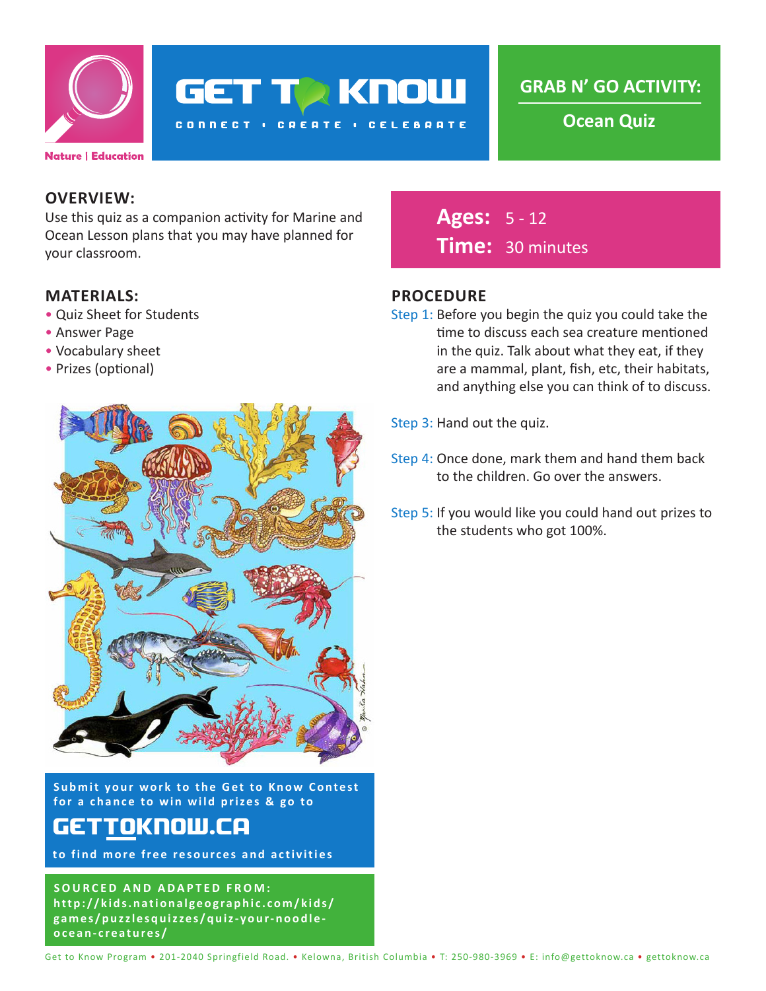

**GET TO KNOW** 

**CONNECT : CREATE : CELEBRATE** 

**GRAB N' GO ACTIVITY:**

**Ocean Quiz**

#### **OVERVIEW:**

Use this quiz as a companion activity for Marine and Ocean Lesson plans that you may have planned for your classroom.

#### **MATERIALS:**

- Quiz Sheet for Students
- Answer Page
- Vocabulary sheet
- Prizes (optional)



**Submit your work to the Get to Know Contest for a chance to win wild prizes & go to**

## gettoknow.ca

**to find more free resources and activities**

**SOURCED AND ADAPTED FROM: http://kids.nationalgeographic.com/kids/ games/puzzlesquizzes/quiz-your-noodleocean-creatures/**

**Ages:** 5 - 12 **Time:** 30 minutes

#### **PROCEDURE**

- Step 1: Before you begin the quiz you could take the time to discuss each sea creature mentioned in the quiz. Talk about what they eat, if they are a mammal, plant, fish, etc, their habitats, and anything else you can think of to discuss.
- Step 3: Hand out the quiz.
- Step 4: Once done, mark them and hand them back to the children. Go over the answers.
- Step 5: If you would like you could hand out prizes to the students who got 100%.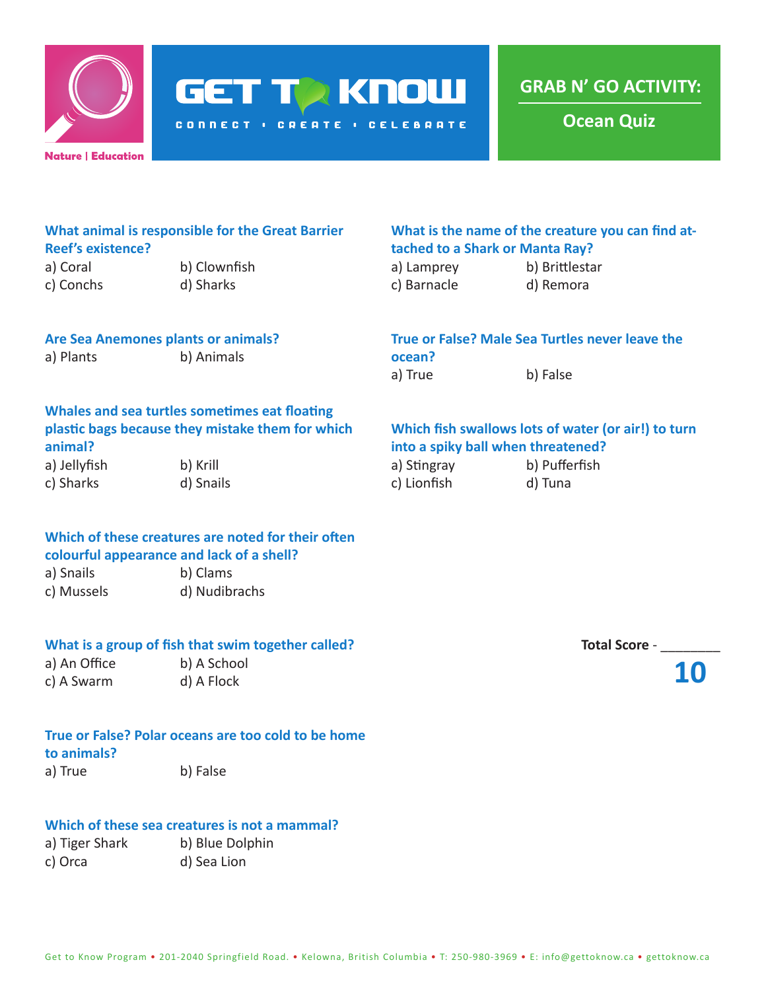

**GET TO KNOW** 

**CONNECT : CREATE : CELEBRATE** 

**GRAB N' GO ACTIVITY:**

**Ocean Quiz**

| What animal is responsible for the Great Barrier |  |
|--------------------------------------------------|--|
| <b>Reef's existence?</b>                         |  |

a) Coral b) Clownfish c) Conchs d) Sharks

#### **What is the name of the creature you can find attached to a Shark or Manta Ray?**

| a) Lamprey  | b) Brittlestar |
|-------------|----------------|
| c) Barnacle | d) Remora      |

## **Are Sea Anemones plants or animals?**

a) Plants b) Animals

### **True or False? Male Sea Turtles never leave the ocean?**

a) True b) False

#### **Whales and sea turtles sometimes eat floating plastic bags because they mistake them for which animal?**

a) Jellyfish b) Krill c) Sharks d) Snails

#### **Which of these creatures are noted for their often colourful appearance and lack of a shell?**

a) Snails b) Clams c) Mussels d) Nudibrachs

#### **What is a group of fish that swim together called?**

a) An Office b) A School c) A Swarm d) A Flock

# **True or False? Polar oceans are too cold to be home**

#### **to animals?**

a) True b) False

#### **Which of these sea creatures is not a mammal?**

| a) Tiger Shark | b) Blue Dolphin |
|----------------|-----------------|
| c) Orca        | d) Sea Lion     |

#### **Which fish swallows lots of water (or air!) to turn into a spiky ball when threatened?**

| a) Stingray | b) Pufferfish |
|-------------|---------------|
| c) Lionfish | d) Tuna       |

| <b>Total Score -</b> |  |
|----------------------|--|
|----------------------|--|

**10**